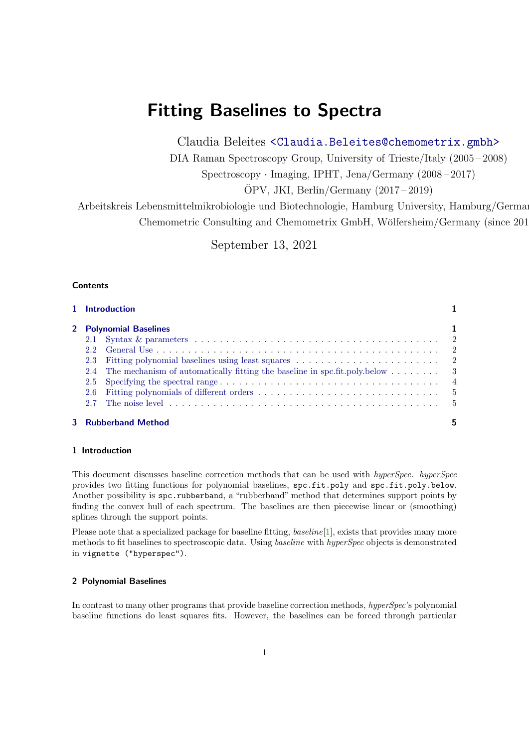# Fitting Baselines to Spectra

Claudia Beleites <<Claudia.Beleites@chemometrix.gmbh>>

DIA Raman Spectroscopy Group, University of Trieste/Italy (2005 – 2008)

Spectroscopy · Imaging, IPHT, Jena/Germany (2008 – 2017)

 $\text{OPV}, \text{JKI}, \text{Berlin}/\text{Germany} (2017-2019)$ 

Arbeitskreis Lebensmittelmikrobiologie und Biotechnologie, Hamburg University, Hamburg/German Chemometric Consulting and Chemometrix GmbH, Wölfersheim/Germany (since 201

September 13, 2021

# **Contents**

|                        | 1 Introduction                                                                                                                                                     |   |  |  |
|------------------------|--------------------------------------------------------------------------------------------------------------------------------------------------------------------|---|--|--|
| 2 Polynomial Baselines |                                                                                                                                                                    |   |  |  |
|                        |                                                                                                                                                                    |   |  |  |
|                        |                                                                                                                                                                    |   |  |  |
|                        |                                                                                                                                                                    |   |  |  |
|                        | 2.4 The mechanism of automatically fitting the baseline in spc.fit.poly.below $\ldots \ldots$ 3                                                                    |   |  |  |
|                        |                                                                                                                                                                    |   |  |  |
|                        |                                                                                                                                                                    |   |  |  |
|                        | 2.7 The noise level $\ldots$ , $\ldots$ , $\ldots$ , $\ldots$ , $\ldots$ , $\ldots$ , $\ldots$ , $\ldots$ , $\ldots$ , $\ldots$ , $\ldots$ , $\ldots$ , $\qquad$ 5 |   |  |  |
|                        | <b>3</b> Rubberband Method                                                                                                                                         | 5 |  |  |

#### <span id="page-0-0"></span>1 Introduction

This document discusses baseline correction methods that can be used with hyperSpec. hyperSpec provides two fitting functions for polynomial baselines, spc.fit.poly and spc.fit.poly.below. Another possibility is spc.rubberband, a "rubberband" method that determines support points by finding the convex hull of each spectrum. The baselines are then piecewise linear or (smoothing) splines through the support points.

Please note that a specialized package for baseline fitting, baseline[\[1\]](#page-5-0), exists that provides many more methods to fit baselines to spectroscopic data. Using *baseline* with *hyperSpec* objects is demonstrated in vignette ("hyperspec").

# <span id="page-0-1"></span>2 Polynomial Baselines

In contrast to many other programs that provide baseline correction methods, hyperSpec's polynomial baseline functions do least squares fits. However, the baselines can be forced through particular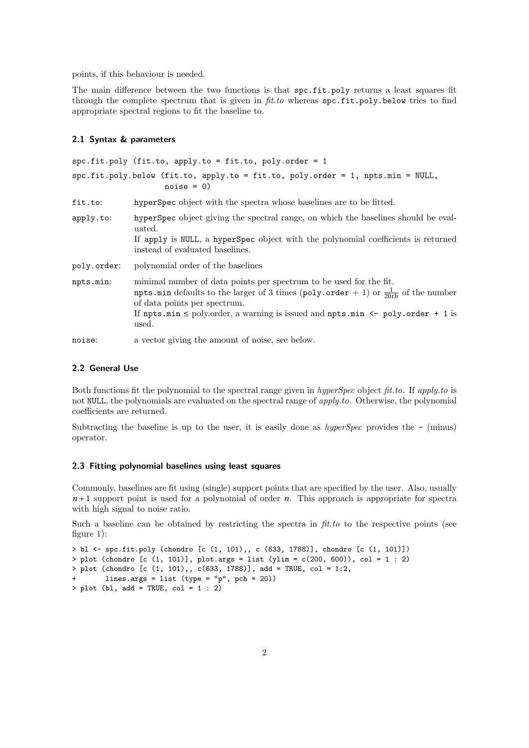points, if this behaviour is needed.

The main difference between the two functions is that spc.fit.poly returns a least squares fit through the complete spectrum that is given in  $\text{fit}$  to whereas spc.fit.poly.below tries to find appropriate spectral regions to fit the baseline to.

#### <span id="page-1-0"></span>2.1 Syntax & parameters

spc.fit.poly (fit.to, apply.to = fit.to, poly.order = 1 spc.fit.poly.below (fit.to, apply.to = fit.to, poly.order = 1, npts.min = NULL,  $noise = 0)$ fit.to: hyperSpec object with the spectra whose baselines are to be fitted. apply.to: hyperSpec object giving the spectral range, on which the baselines should be evaluated. If apply is NULL, a hyperSpec object with the polynomial coefficients is returned instead of evaluated baselines. poly.order: polynomial order of the baselines npts.min: minimal number of data points per spectrum to be used for the fit. npts.min defaults to the larger of 3 times (poly.order + 1) or  $\frac{1}{20th}$  of the number of data points per spectrum. If npts.min  $\leq$  poly.order, a warning is issued and npts.min  $\leq$  poly.order + 1 is used. noise: a vector giving the amount of noise, see below.

#### <span id="page-1-1"></span>2.2 General Use

Both functions fit the polynomial to the spectral range given in hyperSpec object fit.to. If apply.to is not NULL, the polynomials are evaluated on the spectral range of *apply.to.* Otherwise, the polynomial coefficients are returned.

Subtracting the baseline is up to the user, it is easily done as  $hyperSpec$  provides the  $-$  (minus) operator.

#### <span id="page-1-2"></span>2.3 Fitting polynomial baselines using least squares

Commonly, baselines are fit using (single) support points that are specified by the user. Also, usually *n* + 1 support point is used for a polynomial of order *n*. This approach is appropriate for spectra with high signal to noise ratio.

Such a baseline can be obtained by restricting the spectra in  $\hat{f}$ t.to to the respective points (see figure [1\)](#page-2-1):

```
> bl <- spc.fit.poly (chondro [c (1, 101),, c (633, 1788)], chondro [c (1, 101)])
> plot (chondro [c (1, 101)], plot.args = list (ylim = c(200, 600)), col = 1 : 2)
> plot (chondro [c (1, 101),, c(633, 1788)], add = TRUE, col = 1:2,
       lines.args = list (type = "p", pch = 20))
> plot (bl, add = TRUE, col = 1 : 2)
```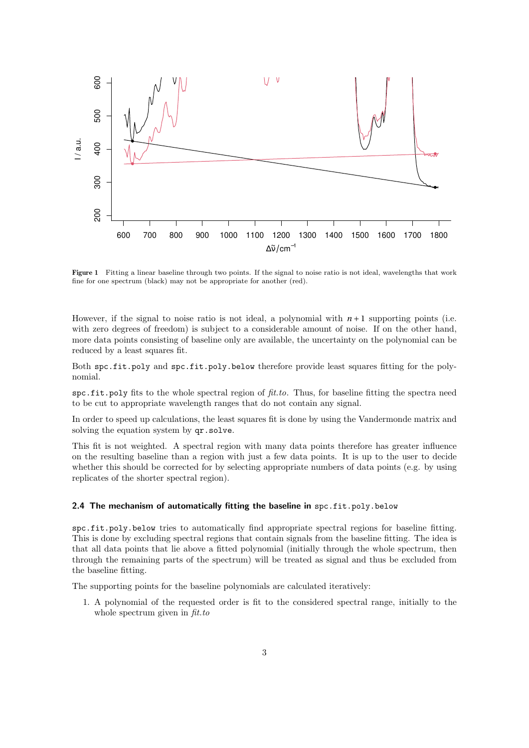<span id="page-2-1"></span>

Figure 1 Fitting a linear baseline through two points. If the signal to noise ratio is not ideal, wavelengths that work fine for one spectrum (black) may not be appropriate for another (red).

However, if the signal to noise ratio is not ideal, a polynomial with  $n+1$  supporting points (i.e. with zero degrees of freedom) is subject to a considerable amount of noise. If on the other hand, more data points consisting of baseline only are available, the uncertainty on the polynomial can be reduced by a least squares fit.

Both spc.fit.poly and spc.fit.poly.below therefore provide least squares fitting for the polynomial.

spc.fit.poly fits to the whole spectral region of  $\hat{f}t.t.$  Thus, for baseline fitting the spectra need to be cut to appropriate wavelength ranges that do not contain any signal.

In order to speed up calculations, the least squares fit is done by using the Vandermonde matrix and solving the equation system by  $qr.solve.$ 

This fit is not weighted. A spectral region with many data points therefore has greater influence on the resulting baseline than a region with just a few data points. It is up to the user to decide whether this should be corrected for by selecting appropriate numbers of data points (e.g. by using replicates of the shorter spectral region).

#### <span id="page-2-0"></span>2.4 The mechanism of automatically fitting the baseline in spc.fit.poly.below

spc.fit.poly.below tries to automatically find appropriate spectral regions for baseline fitting. This is done by excluding spectral regions that contain signals from the baseline fitting. The idea is that all data points that lie above a fitted polynomial (initially through the whole spectrum, then through the remaining parts of the spectrum) will be treated as signal and thus be excluded from the baseline fitting.

The supporting points for the baseline polynomials are calculated iteratively:

1. A polynomial of the requested order is fit to the considered spectral range, initially to the whole spectrum given in  $\hat{f}$ t.to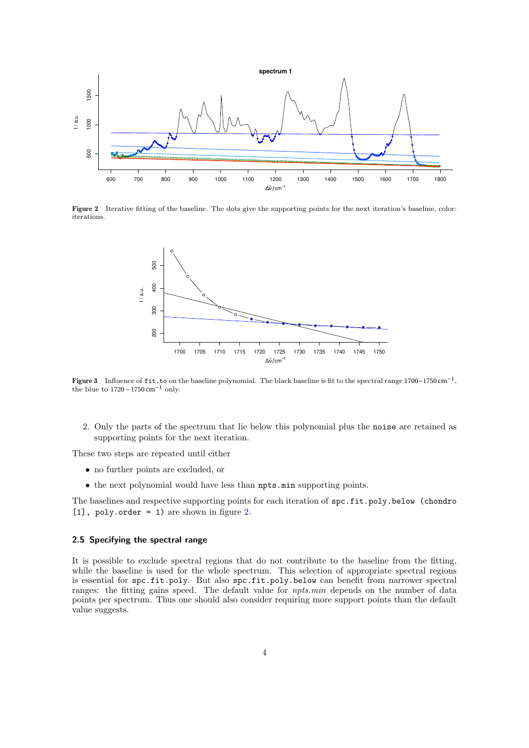<span id="page-3-1"></span>

<span id="page-3-2"></span>Figure 2 Iterative fitting of the baseline. The dots give the supporting points for the next iteration's baseline, color: iterations.



Figure 3 Influence of fit.to on the baseline polynomial. The black baseline is fit to the spectral range 1700–1750 cm<sup>-1</sup>, the blue to  $1720-1750$  cm<sup>-1</sup> only.

2. Only the parts of the spectrum that lie below this polynomial plus the noise are retained as supporting points for the next iteration.

These two steps are repeated until either

- no further points are excluded, or
- the next polynomial would have less than npts.min supporting points.

The baselines and respective supporting points for each iteration of spc.fit.poly.below (chondro [1], poly.order = 1) are shown in figure [2.](#page-3-1)

## <span id="page-3-0"></span>2.5 Specifying the spectral range

It is possible to exclude spectral regions that do not contribute to the baseline from the fitting, while the baseline is used for the whole spectrum. This selection of appropriate spectral regions is essential for spc.fit.poly. But also spc.fit.poly.below can benefit from narrower spectral ranges: the fitting gains speed. The default value for *npts.min* depends on the number of data points per spectrum. Thus one should also consider requiring more support points than the default value suggests.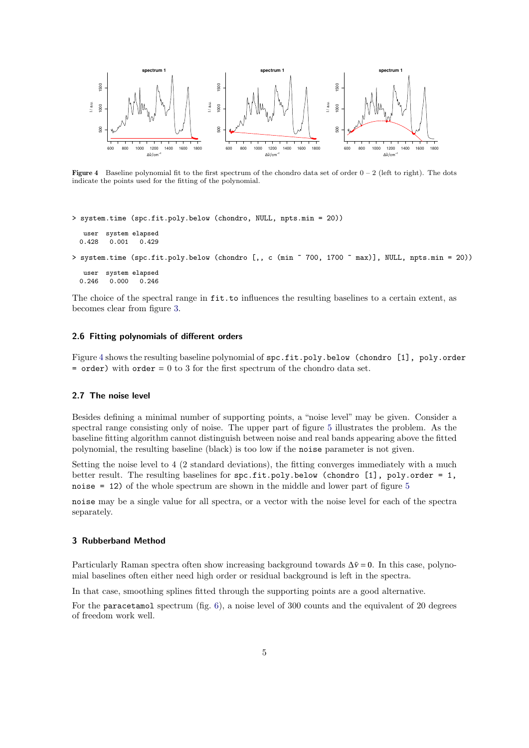<span id="page-4-3"></span>

Figure 4 Baseline polynomial fit to the first spectrum of the chondro data set of order  $0 - 2$  (left to right). The dots indicate the points used for the fitting of the polynomial.

```
> system.time (spc.fit.poly.below (chondro, NULL, npts.min = 20))
```

```
user system elapsed<br>0.428 0.001 0.429
0.428 0.001
```
> system.time (spc.fit.poly.below (chondro [,, c (min ~ 700, 1700 ~ max)], NULL, npts.min = 20))

user system elapsed 0.246 0.000 0.246

The choice of the spectral range in  $fit.to$  influences the resulting baselines to a certain extent, as becomes clear from figure [3.](#page-3-2)

## <span id="page-4-0"></span>2.6 Fitting polynomials of different orders

Figure [4](#page-4-3) shows the resulting baseline polynomial of spc.fit.poly.below (chondro [1], poly.order  $=$  order) with order  $= 0$  to 3 for the first spectrum of the chondro data set.

#### <span id="page-4-1"></span>2.7 The noise level

Besides defining a minimal number of supporting points, a "noise level" may be given. Consider a spectral range consisting only of noise. The upper part of figure [5](#page-5-1) illustrates the problem. As the baseline fitting algorithm cannot distinguish between noise and real bands appearing above the fitted polynomial, the resulting baseline (black) is too low if the noise parameter is not given.

Setting the noise level to 4 (2 standard deviations), the fitting converges immediately with a much better result. The resulting baselines for spc.fit.poly.below (chondro [1], poly.order = 1, noise = 12) of the whole spectrum are shown in the middle and lower part of figure [5](#page-5-1)

noise may be a single value for all spectra, or a vector with the noise level for each of the spectra separately.

#### <span id="page-4-2"></span>3 Rubberband Method

Particularly Raman spectra often show increasing background towards  $Δ*v* = 0$ . In this case, polynomial baselines often either need high order or residual background is left in the spectra.

In that case, smoothing splines fitted through the supporting points are a good alternative.

For the paracetamol spectrum (fig. [6\)](#page-6-0), a noise level of 300 counts and the equivalent of 20 degrees of freedom work well.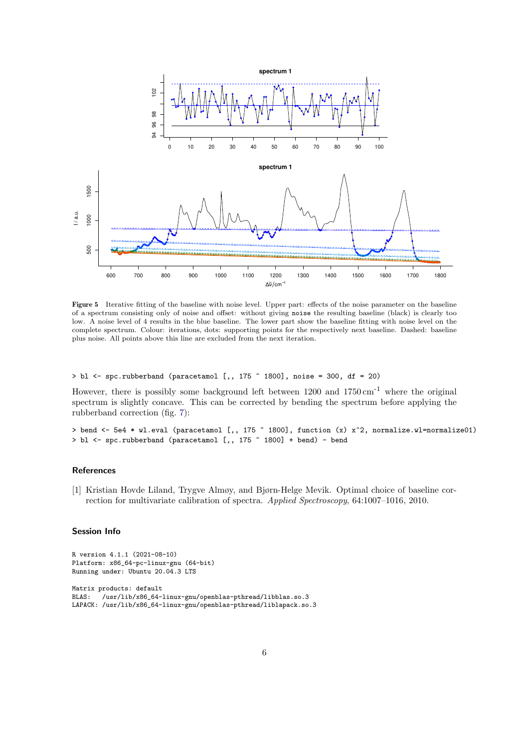<span id="page-5-1"></span>

Figure 5 Iterative fitting of the baseline with noise level. Upper part: effects of the noise parameter on the baseline of a spectrum consisting only of noise and offset: without giving noise the resulting baseline (black) is clearly too low. A noise level of 4 results in the blue baseline. The lower part show the baseline fitting with noise level on the complete spectrum. Colour: iterations, dots: supporting points for the respectively next baseline. Dashed: baseline plus noise. All points above this line are excluded from the next iteration.

 $>$  bl  $\le$  spc.rubberband (paracetamol [,, 175  $\degree$  1800], noise = 300, df = 20)

However, there is possibly some background left between  $1200$  and  $1750 \text{ cm}^{-1}$  where the original spectrum is slightly concave. This can be corrected by bending the spectrum before applying the rubberband correction (fig. [7\)](#page-6-1):

```
> bend <- 5e4 * wl.eval (paracetamol [,, 175 ~ 1800], function (x) x^2, normalize.wl=normalize01)
> bl <- spc.rubberband (paracetamol [,, 175 ~ 1800] + bend) - bend
```
### **References**

<span id="page-5-0"></span>[1] Kristian Hovde Liland, Trygve Almøy, and Bjørn-Helge Mevik. Optimal choice of baseline correction for multivariate calibration of spectra. Applied Spectroscopy, 64:1007–1016, 2010.

#### Session Info

```
R version 4.1.1 (2021-08-10)
Platform: x86_64-pc-linux-gnu (64-bit)
Running under: Ubuntu 20.04.3 LTS
Matrix products: default
BLAS: /usr/lib/x86_64-linux-gnu/openblas-pthread/libblas.so.3
LAPACK: /usr/lib/x86_64-linux-gnu/openblas-pthread/liblapack.so.3
```